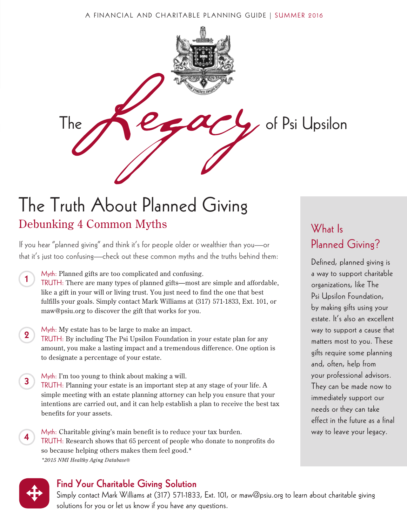#### A FINANCIAL AND CHARITABLE PLANNING GUIDE | SUMMER 2016



## The Truth About Planned Giving Debunking 4 Common Myths

If you hear "planned giving" and think it's for people older or wealthier than you—or that it's just too confusing—check out these common myths and the truths behind them:

- Myth: Planned gifts are too complicated and confusing. TRUTH: There are many types of planned gifts—most are simple and affordable, like a gift in your will or living trust. You just need to find the one that best fulfills your goals. Simply contact Mark Williams at (317) 571-1833, Ext. 101, or maw@psiu.org to discover the gift that works for you. 1
- Myth: My estate has to be large to make an impact. TRUTH: By including The Psi Upsilon Foundation in your estate plan for any amount, you make a lasting impact and a tremendous difference. One option is to designate a percentage of your estate. 2
- Myth: I'm too young to think about making a will. TRUTH: Planning your estate is an important step at any stage of your life. A simple meeting with an estate planning attorney can help you ensure that your intentions are carried out, and it can help establish a plan to receive the best tax benefits for your assets. 3
- Myth: Charitable giving's main benefit is to reduce your tax burden. TRUTH: Research shows that 65 percent of people who donate to nonprofits do so because helping others makes them feel good.\* *\*2015 NMI Healthy Aging Database®* 4

## What Is Planned Giving?

Defined, planned giving is a way to support charitable organizations, like The Psi Upsilon Foundation, by making gifts using your estate. It's also an excellent way to support a cause that matters most to you. These gifts require some planning and, often, help from your professional advisors. They can be made now to immediately support our needs or they can take effect in the future as a final way to leave your legacy.



#### Find Your Charitable Giving Solution

Simply contact Mark Williams at (317) 571-1833, Ext. 101, or maw@psiu.org to learn about charitable giving solutions for you or let us know if you have any questions.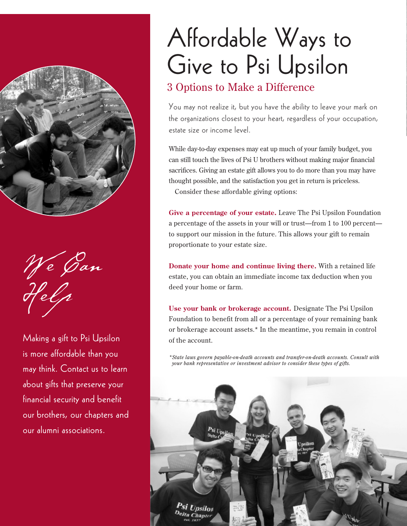

We Gan Help

Making a gift to Psi Upsilon is more affordable than you may think. Contact us to learn about gifts that preserve your financial security and benefit our brothers, our chapters and our alumni associations.

# Affordable Ways to Give to Psi Upsilon

### 3 Options to Make a Difference

You may not realize it, but you have the ability to leave your mark on the organizations closest to your heart, regardless of your occupation, estate size or income level.

While day-to-day expenses may eat up much of your family budget, you can still touch the lives of Psi U brothers without making major financial sacrifices. Giving an estate gift allows you to do more than you may have thought possible, and the satisfaction you get in return is priceless.

Consider these affordable giving options:

**Give a percentage of your estate.** Leave The Psi Upsilon Foundation a percentage of the assets in your will or trust—from 1 to 100 percent to support our mission in the future. This allows your gift to remain proportionate to your estate size.

**Donate your home and continue living there.** With a retained life estate, you can obtain an immediate income tax deduction when you deed your home or farm.

**Use your bank or brokerage account.** Designate The Psi Upsilon Foundation to benefit from all or a percentage of your remaining bank or brokerage account assets.\* In the meantime, you remain in control of the account.

*\*State laws govern payable-on-death accounts and transfer-on-death accounts. Consult with your bank representative or investment advisor to consider these types of gifts.*

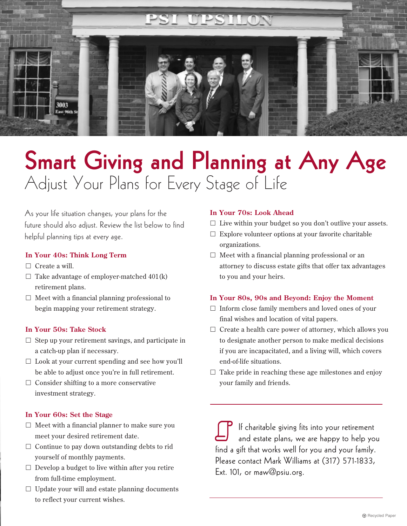

## Smart Giving and Planning at Any Age Adjust Your Plans for Every Stage of Life

As your life situation changes, your plans for the future should also adjust. Review the list below to find helpful planning tips at every age.

#### **In Your 40s: Think Long Term**

- $\Box$  Create a will.
- $\Box$  Take advantage of employer-matched 401(k) retirement plans.
- $\Box$  Meet with a financial planning professional to begin mapping your retirement strategy.

#### **In Your 50s: Take Stock**

- $\Box$  Step up your retirement savings, and participate in a catch-up plan if necessary.
- $\Box$  Look at your current spending and see how you'll be able to adjust once you're in full retirement.
- $\Box$  Consider shifting to a more conservative investment strategy.

#### **In Your 60s: Set the Stage**

- $\Box$  Meet with a financial planner to make sure you meet your desired retirement date.
- $\Box$  Continue to pay down outstanding debts to rid yourself of monthly payments.
- $\Box$  Develop a budget to live within after you retire from full-time employment.
- $\Box$  Update your will and estate planning documents to reflect your current wishes.

#### **In Your 70s: Look Ahead**

- $\Box$  Live within your budget so you don't outlive your assets.
- $\Box$  Explore volunteer options at your favorite charitable organizations.
- $\Box$  Meet with a financial planning professional or an attorney to discuss estate gifts that offer tax advantages to you and your heirs.

#### **In Your 80s, 90s and Beyond: Enjoy the Moment**

- $\Box$  Inform close family members and loved ones of your final wishes and location of vital papers.
- $\Box$  Create a health care power of attorney, which allows you to designate another person to make medical decisions if you are incapacitated, and a living will, which covers end-of-life situations.
- $\Box$  Take pride in reaching these age milestones and enjoy your family and friends.

If charitable giving fits into your retirement and estate plans, we are happy to help you find a gift that works well for you and your family. Please contact Mark Williams at (317) 571-1833, Ext. 101, or maw@psiu.org.